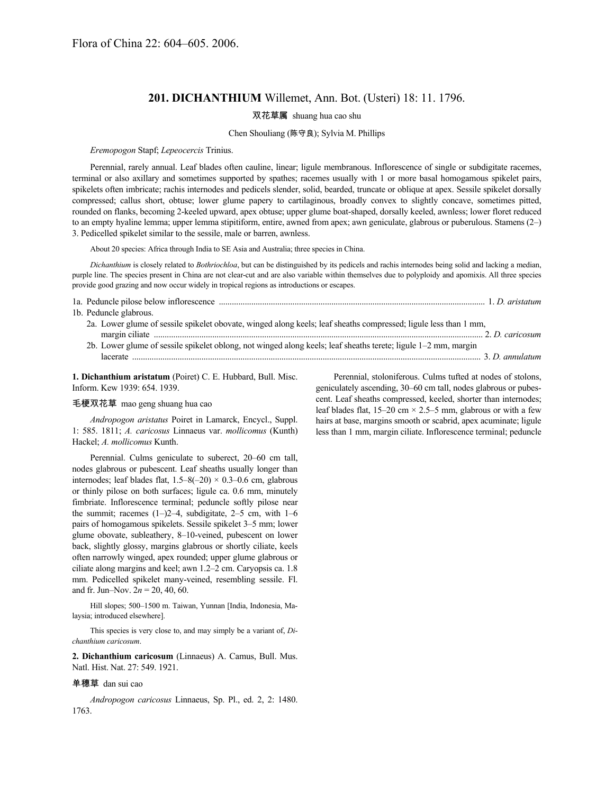### **201. DICHANTHIUM** Willemet, Ann. Bot. (Usteri) 18: 11. 1796.

# 双花草属 shuang hua cao shu

### Chen Shouliang (陈守良); Sylvia M. Phillips

#### *Eremopogon* Stapf; *Lepeocercis* Trinius.

Perennial, rarely annual. Leaf blades often cauline, linear; ligule membranous. Inflorescence of single or subdigitate racemes, terminal or also axillary and sometimes supported by spathes; racemes usually with 1 or more basal homogamous spikelet pairs, spikelets often imbricate; rachis internodes and pedicels slender, solid, bearded, truncate or oblique at apex. Sessile spikelet dorsally compressed; callus short, obtuse; lower glume papery to cartilaginous, broadly convex to slightly concave, sometimes pitted, rounded on flanks, becoming 2-keeled upward, apex obtuse; upper glume boat-shaped, dorsally keeled, awnless; lower floret reduced to an empty hyaline lemma; upper lemma stipitiform, entire, awned from apex; awn geniculate, glabrous or puberulous. Stamens (2–) 3. Pedicelled spikelet similar to the sessile, male or barren, awnless.

About 20 species: Africa through India to SE Asia and Australia; three species in China.

*Dichanthium* is closely related to *Bothriochloa*, but can be distinguished by its pedicels and rachis internodes being solid and lacking a median, purple line. The species present in China are not clear-cut and are also variable within themselves due to polyploidy and apomixis. All three species provide good grazing and now occur widely in tropical regions as introductions or escapes.

| 1a. Peduncle pilose below inflorescence <i>manufacturing manufacturing manufacturing manufacturing manufacturing manufacturing manufacturing manufacturing manufacturing manufacturing manufacturing manufacturing manufacturing</i> |  |
|--------------------------------------------------------------------------------------------------------------------------------------------------------------------------------------------------------------------------------------|--|
| 1b. Peduncle glabrous.                                                                                                                                                                                                               |  |
| 2a. Lower glume of sessile spikelet obovate, winged along keels; leaf sheaths compressed; ligule less than 1 mm,                                                                                                                     |  |
|                                                                                                                                                                                                                                      |  |
| 2b. Lower glume of sessile spikelet oblong, not winged along keels; leaf sheaths terete; ligule 1–2 mm, margin                                                                                                                       |  |
|                                                                                                                                                                                                                                      |  |

**1. Dichanthium aristatum** (Poiret) C. E. Hubbard, Bull. Misc. Inform. Kew 1939: 654. 1939.

#### 毛梗双花草 mao geng shuang hua cao

*Andropogon aristatus* Poiret in Lamarck, Encycl., Suppl. 1: 585. 1811; *A. caricosus* Linnaeus var. *mollicomus* (Kunth) Hackel; *A. mollicomus* Kunth.

Perennial. Culms geniculate to suberect, 20–60 cm tall, nodes glabrous or pubescent. Leaf sheaths usually longer than internodes; leaf blades flat,  $1.5-8(-20) \times 0.3-0.6$  cm, glabrous or thinly pilose on both surfaces; ligule ca. 0.6 mm, minutely fimbriate. Inflorescence terminal; peduncle softly pilose near the summit; racemes  $(1–)2–4$ , subdigitate,  $2–5$  cm, with  $1–6$ pairs of homogamous spikelets. Sessile spikelet 3–5 mm; lower glume obovate, subleathery, 8–10-veined, pubescent on lower back, slightly glossy, margins glabrous or shortly ciliate, keels often narrowly winged, apex rounded; upper glume glabrous or ciliate along margins and keel; awn 1.2–2 cm. Caryopsis ca. 1.8 mm. Pedicelled spikelet many-veined, resembling sessile. Fl. and fr. Jun–Nov. 2*n* = 20, 40, 60.

Hill slopes; 500–1500 m. Taiwan, Yunnan [India, Indonesia, Malaysia; introduced elsewhere].

This species is very close to, and may simply be a variant of, *Dichanthium caricosum*.

**2. Dichanthium caricosum** (Linnaeus) A. Camus, Bull. Mus. Natl. Hist. Nat. 27: 549. 1921.

#### 单穗草 dan sui cao

*Andropogon caricosus* Linnaeus, Sp. Pl., ed. 2, 2: 1480. 1763.

Perennial, stoloniferous. Culms tufted at nodes of stolons, geniculately ascending, 30–60 cm tall, nodes glabrous or pubescent. Leaf sheaths compressed, keeled, shorter than internodes; leaf blades flat,  $15-20$  cm  $\times$  2.5–5 mm, glabrous or with a few hairs at base, margins smooth or scabrid, apex acuminate; ligule less than 1 mm, margin ciliate. Inflorescence terminal; peduncle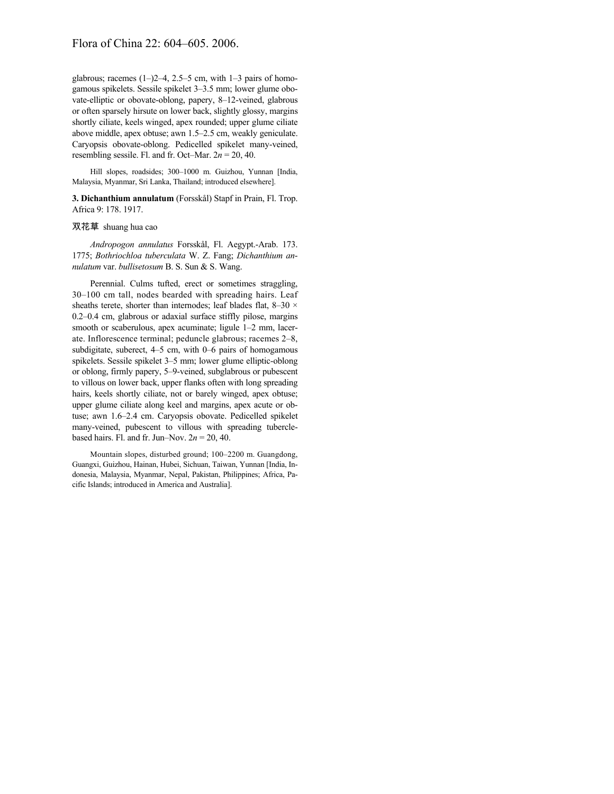# Flora of China 22: 604–605. 2006.

glabrous; racemes  $(1–)2–4$ , 2.5–5 cm, with  $1–3$  pairs of homogamous spikelets. Sessile spikelet 3–3.5 mm; lower glume obovate-elliptic or obovate-oblong, papery, 8–12-veined, glabrous or often sparsely hirsute on lower back, slightly glossy, margins shortly ciliate, keels winged, apex rounded; upper glume ciliate above middle, apex obtuse; awn 1.5–2.5 cm, weakly geniculate. Caryopsis obovate-oblong. Pedicelled spikelet many-veined, resembling sessile. Fl. and fr. Oct–Mar.  $2n = 20, 40$ .

Hill slopes, roadsides; 300–1000 m. Guizhou, Yunnan [India, Malaysia, Myanmar, Sri Lanka, Thailand; introduced elsewhere].

**3. Dichanthium annulatum** (Forsskål) Stapf in Prain, Fl. Trop. Africa 9: 178. 1917.

#### 双花草 shuang hua cao

*Andropogon annulatus* Forsskål, Fl. Aegypt.-Arab. 173. 1775; *Bothriochloa tuberculata* W. Z. Fang; *Dichanthium annulatum* var. *bullisetosum* B. S. Sun & S. Wang.

Perennial. Culms tufted, erect or sometimes straggling, 30–100 cm tall, nodes bearded with spreading hairs. Leaf sheaths terete, shorter than internodes; leaf blades flat, 8-30  $\times$ 0.2–0.4 cm, glabrous or adaxial surface stiffly pilose, margins smooth or scaberulous, apex acuminate; ligule 1–2 mm, lacerate. Inflorescence terminal; peduncle glabrous; racemes 2–8, subdigitate, suberect, 4–5 cm, with 0–6 pairs of homogamous spikelets. Sessile spikelet 3–5 mm; lower glume elliptic-oblong or oblong, firmly papery, 5–9-veined, subglabrous or pubescent to villous on lower back, upper flanks often with long spreading hairs, keels shortly ciliate, not or barely winged, apex obtuse; upper glume ciliate along keel and margins, apex acute or obtuse; awn 1.6–2.4 cm. Caryopsis obovate. Pedicelled spikelet many-veined, pubescent to villous with spreading tuberclebased hairs. Fl. and fr. Jun–Nov.  $2n = 20, 40$ .

Mountain slopes, disturbed ground; 100–2200 m. Guangdong, Guangxi, Guizhou, Hainan, Hubei, Sichuan, Taiwan, Yunnan [India, Indonesia, Malaysia, Myanmar, Nepal, Pakistan, Philippines; Africa, Pacific Islands; introduced in America and Australia].